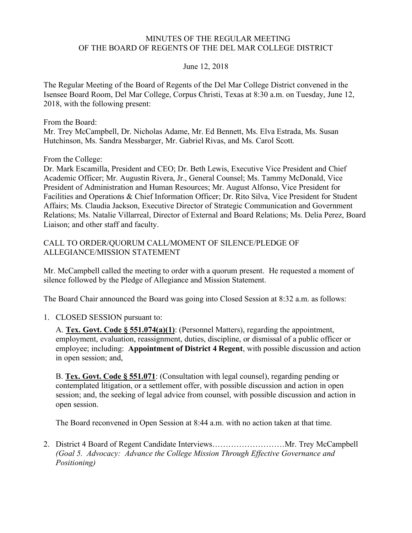#### MINUTES OF THE REGULAR MEETING OF THE BOARD OF REGENTS OF THE DEL MAR COLLEGE DISTRICT

#### June 12, 2018

 The Regular Meeting of the Board of Regents of the Del Mar College District convened in the Isensee Board Room, Del Mar College, Corpus Christi, Texas at 8:30 a.m. on Tuesday, June 12, 2018, with the following present:

From the Board:

 Mr. Trey McCampbell, Dr. Nicholas Adame, Mr. Ed Bennett, Ms. Elva Estrada, Ms. Susan Hutchinson, Ms. Sandra Messbarger, Mr. Gabriel Rivas, and Ms. Carol Scott.

From the College:

 Dr. Mark Escamilla, President and CEO; Dr. Beth Lewis, Executive Vice President and Chief Academic Officer; Mr. Augustin Rivera, Jr., General Counsel; Ms. Tammy McDonald, Vice President of Administration and Human Resources; Mr. August Alfonso, Vice President for Facilities and Operations & Chief Information Officer; Dr. Rito Silva, Vice President for Student Affairs; Ms. Claudia Jackson, Executive Director of Strategic Communication and Government Relations; Ms. Natalie Villarreal, Director of External and Board Relations; Ms. Delia Perez, Board Liaison; and other staff and faculty.

#### CALL TO ORDER/QUORUM CALL/MOMENT OF SILENCE/PLEDGE OF ALLEGIANCE/MISSION STATEMENT

 Mr. McCampbell called the meeting to order with a quorum present. He requested a moment of silence followed by the Pledge of Allegiance and Mission Statement.

The Board Chair announced the Board was going into Closed Session at 8:32 a.m. as follows:

## 1. CLOSED SESSION pursuant to:

A. **Tex. Govt. Code § 551.074(a)(1)**: (Personnel Matters), regarding the appointment, employment, evaluation, reassignment, duties, discipline, or dismissal of a public officer or employee; including: **Appointment of District 4 Regent**, with possible discussion and action in open session; and,

B. **Tex. Govt. Code § 551.071**: (Consultation with legal counsel), regarding pending or contemplated litigation, or a settlement offer, with possible discussion and action in open session; and, the seeking of legal advice from counsel, with possible discussion and action in open session.

The Board reconvened in Open Session at 8:44 a.m. with no action taken at that time.

2. District 4 Board of Regent Candidate Interviews………………………Mr. Trey McCampbell *(Goal 5. Advocacy: Advance the College Mission Through Effective Governance and Positioning)*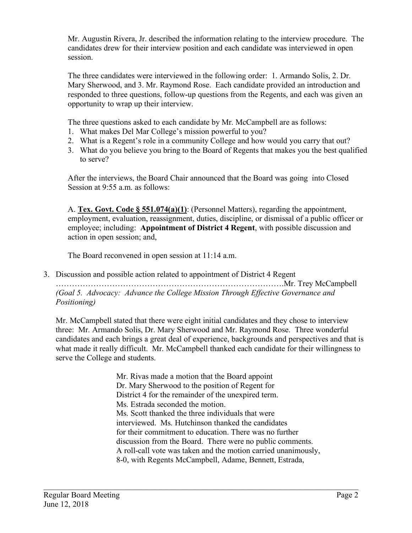Mr. Augustin Rivera, Jr. described the information relating to the interview procedure. The candidates drew for their interview position and each candidate was interviewed in open session.

session.<br>The three candidates were interviewed in the following order: 1. Armando Solis, 2. Dr. Mary Sherwood, and 3. Mr. Raymond Rose. Each candidate provided an introduction and responded to three questions, follow-up questions from the Regents, and each was given an opportunity to wrap up their interview.

The three questions asked to each candidate by Mr. McCampbell are as follows:

- 1. What makes Del Mar College's mission powerful to you?
- 2. What is a Regent's role in a community College and how would you carry that out?
- 3. What do you believe you bring to the Board of Regents that makes you the best qualified to serve?

After the interviews, the Board Chair announced that the Board was going into Closed Session at 9:55 a.m. as follows:

A. **Tex. Govt. Code § 551.074(a)(1)**: (Personnel Matters), regarding the appointment, employment, evaluation, reassignment, duties, discipline, or dismissal of a public officer or employee; including: **Appointment of District 4 Regent**, with possible discussion and action in open session; and,

The Board reconvened in open session at 11:14 a.m.

3. Discussion and possible action related to appointment of District 4 Regent

 ………………………………………………………………………….Mr. Trey McCampbell  *(Goal 5. Advocacy: Advance the College Mission Through Effective Governance and Positioning)* 

 Mr. McCampbell stated that there were eight initial candidates and they chose to interview three: Mr. Armando Solis, Dr. Mary Sherwood and Mr. Raymond Rose. Three wonderful candidates and each brings a great deal of experience, backgrounds and perspectives and that is what made it really difficult. Mr. McCampbell thanked each candidate for their willingness to serve the College and students.

> Mr. Rivas made a motion that the Board appoint Dr. Mary Sherwood to the position of Regent for District 4 for the remainder of the unexpired term. Ms. Estrada seconded the motion. Ms. Scott thanked the three individuals that were interviewed. Ms. Hutchinson thanked the candidates for their commitment to education. There was no further discussion from the Board. There were no public comments. A roll-call vote was taken and the motion carried unanimously, 8-0, with Regents McCampbell, Adame, Bennett, Estrada,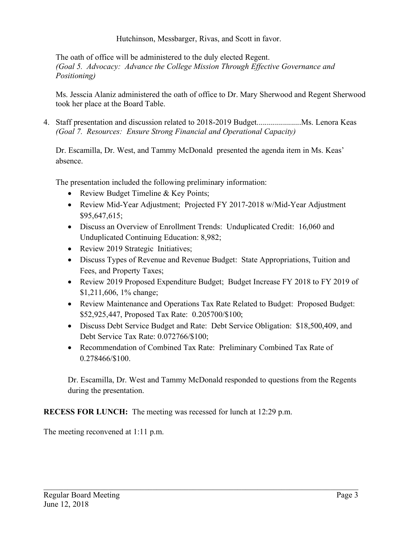Hutchinson, Messbarger, Rivas, and Scott in favor.

 The oath of office will be administered to the duly elected Regent.  *(Goal 5. Advocacy: Advance the College Mission Through Effective Governance and Positioning)* 

 Ms. Jesscia Alaniz administered the oath of office to Dr. Mary Sherwood and Regent Sherwood took her place at the Board Table.

 *(Goal 7. Resources: Ensure Strong Financial and Operational Capacity)*  4. Staff presentation and discussion related to 2018-2019 [Budget......................Ms.](https://Budget......................Ms) Lenora Keas

 Dr. Escamilla, Dr. West, and Tammy McDonald presented the agenda item in Ms. Keas' absence.

The presentation included the following preliminary information:

- Review Budget Timeline & Key Points;
- • Review Mid-Year Adjustment; Projected FY 2017-2018 w/Mid-Year Adjustment \$95,647,615;
- • Discuss an Overview of Enrollment Trends: Unduplicated Credit: 16,060 and Unduplicated Continuing Education: 8,982;
- Review 2019 Strategic Initiatives;
- • Discuss Types of Revenue and Revenue Budget: State Appropriations, Tuition and Fees, and Property Taxes;
- • Review 2019 Proposed Expenditure Budget; Budget Increase FY 2018 to FY 2019 of \$1,211,606, 1% change;
- • Review Maintenance and Operations Tax Rate Related to Budget: Proposed Budget: \$52,925,447, Proposed Tax Rate: 0.205700/\$100;
- • Discuss Debt Service Budget and Rate: Debt Service Obligation: \$18,500,409, and Debt Service Tax Rate: 0.072766/\$100;
- • Recommendation of Combined Tax Rate: Preliminary Combined Tax Rate of 0.278466/\$100.

 $\_$  , and the contribution of the contribution of the contribution of the contribution of  $\mathcal{L}_\text{max}$ 

 Dr. Escamilla, Dr. West and Tammy McDonald responded to questions from the Regents during the presentation.

**RECESS FOR LUNCH:** The meeting was recessed for lunch at 12:29 p.m.

The meeting reconvened at 1:11 p.m.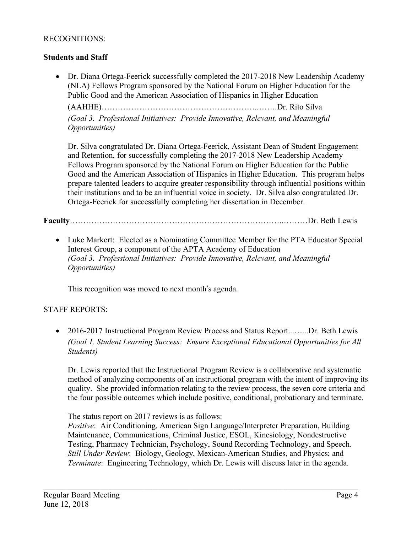## RECOGNITIONS:

## **Students and Staff**

• Dr. Diana Ortega-Feerick successfully completed the 2017-2018 New Leadership Academy (NLA) Fellows Program sponsored by the National Forum on Higher Education for the Public Good and the American Association of Hispanics in Higher Education

(AAHHE)[…………………………………………………](https://AAHHE)�������������������..��.Dr)..…….Dr. Rito Silva

*(Goal 3. Professional Initiatives: Provide Innovative, Relevant, and Meaningful Opportunities)* 

 Dr. Silva congratulated Dr. Diana Ortega-Feerick, Assistant Dean of Student Engagement and Retention, for successfully completing the 2017-2018 New Leadership Academy Fellows Program sponsored by the National Forum on Higher Education for the Public Good and the American Association of Hispanics in Higher Education. This program helps prepare talented leaders to acquire greater responsibility through influential positions within their institutions and to be an influential voice in society. Dr. Silva also congratulated Dr. Ortega-Feerick for successfully completing her dissertation in December.

# **Faculty**……………………………………………………………………..………Dr. Beth Lewis

• Luke Markert: Elected as a Nominating Committee Member for the PTA Educator Special Interest Group, a component of the APTA Academy of Education *(Goal 3. Professional Initiatives: Provide Innovative, Relevant, and Meaningful Opportunities)* 

This recognition was moved to next month's agenda.

## STAFF REPORTS:

 *(Goal 1. Student Learning Success: Ensure Exceptional Educational Opportunities for All*  • 2016-2017 Instructional Program Review Process and Status [Report...](https://Report...�...Dr)......Dr. Beth Lewis *Students)* 

 Dr. Lewis reported that the Instructional Program Review is a collaborative and systematic method of analyzing components of an instructional program with the intent of improving its quality. She provided information relating to the review process, the seven core criteria and the four possible outcomes which include positive, conditional, probationary and terminate.

The status report on 2017 reviews is as follows:

 *Positive*: Air Conditioning, American Sign Language/Interpreter Preparation, Building Maintenance, Communications, Criminal Justice, ESOL, Kinesiology, Nondestructive Testing, Pharmacy Technician, Psychology, Sound Recording Technology, and Speech.  *Still Under Review*: Biology, Geology, Mexican-American Studies, and Physics; and *Terminate*: Engineering Technology, which Dr. Lewis will discuss later in the agenda.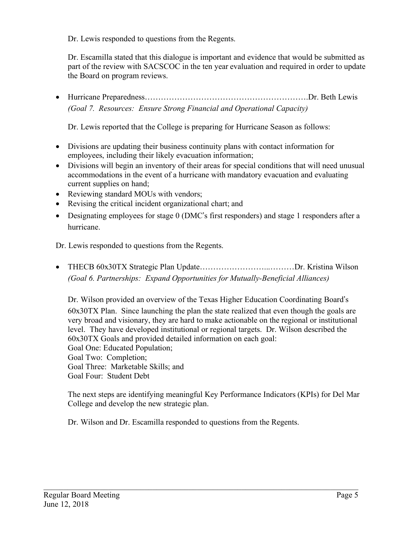Dr. Lewis responded to questions from the Regents.

 Dr. Escamilla stated that this dialogue is important and evidence that would be submitted as part of the review with SACSCOC in the ten year evaluation and required in order to update the Board on program reviews.

 *(Goal 7. Resources: Ensure Strong Financial and Operational Capacity)*  • Hurricane Preparedness[……………………………………………………](https://Preparedness��������������������.Dr).Dr. Beth Lewis

Dr. Lewis reported that the College is preparing for Hurricane Season as follows:

- • Divisions are updating their business continuity plans with contact information for employees, including their likely evacuation information;
- • Divisions will begin an inventory of their areas for special conditions that will need unusual accommodations in the event of a hurricane with mandatory evacuation and evaluating current supplies on hand;
- Reviewing standard MOUs with vendors;
- Revising the critical incident organizational chart; and
- • Designating employees for stage 0 (DMC's first responders) and stage 1 responders after a hurricane.

Dr. Lewis responded to questions from the Regents.

 • THECB 60x30TX Strategic Plan Update……………………...………Dr. Kristina Wilson  *(Goal 6. Partnerships: Expand Opportunities for Mutually-Beneficial Alliances)* 

 Dr. Wilson provided an overview of the Texas Higher Education Coordinating Board's 60x30TX Plan. Since launching the plan the state realized that even though the goals are very broad and visionary, they are hard to make actionable on the regional or institutional level. They have developed institutional or regional targets. Dr. Wilson described the 60x30TX Goals and provided detailed information on each goal: Goal One: Educated Population; Goal Two: Completion; Goal Three: Marketable Skills; and Goal Four: Student Debt

 The next steps are identifying meaningful Key Performance Indicators (KPIs) for Del Mar College and develop the new strategic plan.

 $\_$  , and the contribution of the contribution of the contribution of the contribution of  $\mathcal{L}_\text{max}$ 

Dr. Wilson and Dr. Escamilla responded to questions from the Regents.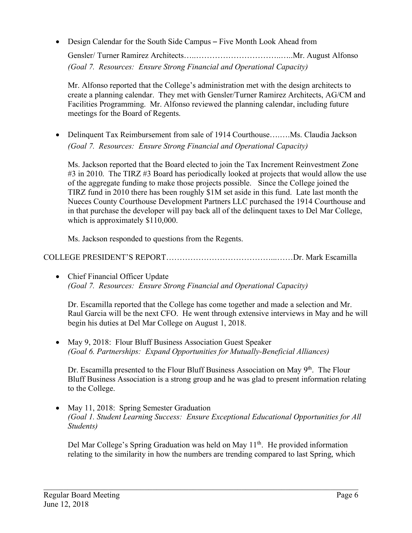• Design Calendar for the South Side Campus – Five Month Look Ahead from

 *(Goal 7. Resources: Ensure Strong Financial and Operational Capacity)*  Gensler/ Turner Ramirez Architects…..[…………………………](https://Architects�..����������..�..Mr)..…..Mr. August Alfonso

 Mr. Alfonso reported that the College's administration met with the design architects to create a planning calendar. They met with Gensler/Turner Ramirez Architects, AG/CM and Facilities Programming. Mr. Alfonso reviewed the planning calendar, including future meetings for the Board of Regents.

• Delinquent Tax Reimbursement from sale of 1914 [Courthouse](https://Courthouse�.�.Ms)........Ms. Claudia Jackson *(Goal 7. Resources: Ensure Strong Financial and Operational Capacity)* 

 Ms. Jackson reported that the Board elected to join the Tax Increment Reinvestment Zone #3 in 2010. The TIRZ #3 Board has periodically looked at projects that would allow the use of the aggregate funding to make those projects possible. Since the College joined the TIRZ fund in 2010 there has been roughly \$1M set aside in this fund. Late last month the Nueces County Courthouse Development Partners LLC purchased the 1914 Courthouse and in that purchase the developer will pay back all of the delinquent taxes to Del Mar College, which is approximately \$110,000.

Ms. Jackson responded to questions from the Regents.

COLLEGE PRESIDENT'S REPORT…………………………………...……Dr. Mark Escamilla

 • Chief Financial Officer Update  *(Goal 7. Resources: Ensure Strong Financial and Operational Capacity)* 

 Dr. Escamilla reported that the College has come together and made a selection and Mr. Raul Garcia will be the next CFO. He went through extensive interviews in May and he will begin his duties at Del Mar College on August 1, 2018.

• May 9, 2018: Flour Bluff Business Association Guest Speaker  *(Goal 6. Partnerships: Expand Opportunities for Mutually-Beneficial Alliances)* 

Dr. Escamilla presented to the Flour Bluff Business Association on May  $9<sup>th</sup>$ . The Flour Bluff Business Association is a strong group and he was glad to present information relating to the College.

• May 11, 2018: Spring Semester Graduation  *(Goal 1. Student Learning Success: Ensure Exceptional Educational Opportunities for All Students)* 

Del Mar College's Spring Graduation was held on May  $11<sup>th</sup>$ . He provided information relating to the similarity in how the numbers are trending compared to last Spring, which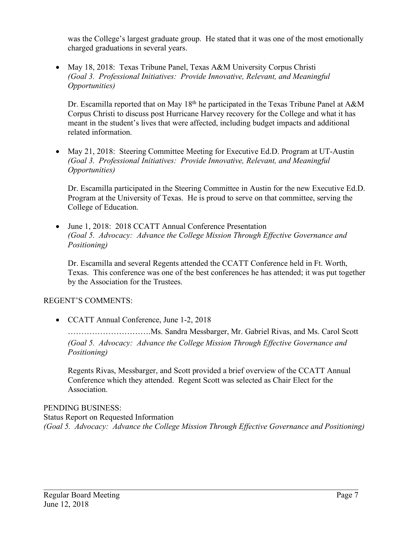was the College's largest graduate group. He stated that it was one of the most emotionally charged graduations in several years.

 • May 18, 2018: Texas Tribune Panel, Texas A&M University Corpus Christi *(Goal 3. Professional Initiatives: Provide Innovative, Relevant, and Meaningful Opportunities)* 

Dr. Escamilla reported that on May 18<sup>th</sup> he participated in the Texas Tribune Panel at A&M Corpus Christi to discuss post Hurricane Harvey recovery for the College and what it has meant in the student's lives that were affected, including budget impacts and additional related information.

• May 21, 2018: Steering Committee Meeting for Executive Ed.D. Program at UT-Austin *(Goal 3. Professional Initiatives: Provide Innovative, Relevant, and Meaningful Opportunities)* 

 Dr. Escamilla participated in the Steering Committee in Austin for the new Executive Ed.D. Program at the University of Texas. He is proud to serve on that committee, serving the College of Education.

 • June 1, 2018: 2018 CCATT Annual Conference Presentation *(Goal 5. Advocacy: Advance the College Mission Through Effective Governance and Positioning)* 

 Dr. Escamilla and several Regents attended the CCATT Conference held in Ft. Worth, Texas. This conference was one of the best conferences he has attended; it was put together by the Association for the Trustees.

# REGENT'S COMMENTS:

• CCATT Annual Conference, June 1-2, 2018

 ………………………….Ms. Sandra Messbarger, Mr. Gabriel Rivas, and Ms. Carol Scott *(Goal 5. Advocacy: Advance the College Mission Through Effective Governance and Positioning)* 

 Regents Rivas, Messbarger, and Scott provided a brief overview of the CCATT Annual Conference which they attended. Regent Scott was selected as Chair Elect for the Association.

# PENDING BUSINESS:

 Status Report on Requested Information  *(Goal 5. Advocacy: Advance the College Mission Through Effective Governance and Positioning)*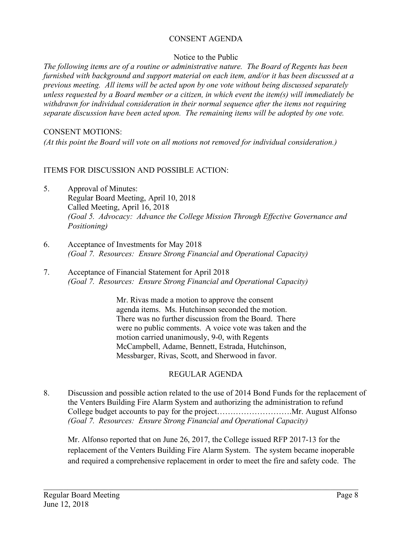# CONSENT AGENDA

## Notice to the Public

 *The following items are of a routine or administrative nature. The Board of Regents has been furnished with background and support material on each item, and/or it has been discussed at a previous meeting. All items will be acted upon by one vote without being discussed separately unless requested by a Board member or a citizen, in which event the item(s) will immediately be withdrawn for individual consideration in their normal sequence after the items not requiring*  separate discussion have been acted upon. The remaining items will be adopted by one vote.

## CONSENT MOTIONS:

 *(At this point the Board will vote on all motions not removed for individual consideration.)* 

## ITEMS FOR DISCUSSION AND POSSIBLE ACTION:

- 5. Approval of Minutes: Regular Board Meeting, April 10, 2018 Called Meeting, April 16, 2018  *(Goal 5. Advocacy: Advance the College Mission Through Effective Governance and Positioning)*
- 6. Acceptance of Investments for May 2018  *(Goal 7. Resources: Ensure Strong Financial and Operational Capacity)*
- 7. Acceptance of Financial Statement for April 2018  *(Goal 7. Resources: Ensure Strong Financial and Operational Capacity)*

 There was no further discussion from the Board. There McCampbell, Adame, Bennett, Estrada, Hutchinson, Messbarger, Rivas, Scott, and Sherwood in favor. Mr. Rivas made a motion to approve the consent agenda items. Ms. Hutchinson seconded the motion. were no public comments. A voice vote was taken and the motion carried unanimously, 9-0, with Regents

# REGULAR AGENDA

8. Discussion and possible action related to the use of 2014 Bond Funds for the replacement of the Venters Building Fire Alarm System and authorizing the administration to refund College budget accounts to pay for the [project……………………….Mr](https://project���������.Mr). August Alfonso *(Goal 7. Resources: Ensure Strong Financial and Operational Capacity)* 

Mr. Alfonso reported that on June 26, 2017, the College issued RFP 2017-13 for the replacement of the Venters Building Fire Alarm System. The system became inoperable and required a comprehensive replacement in order to meet the fire and safety code. The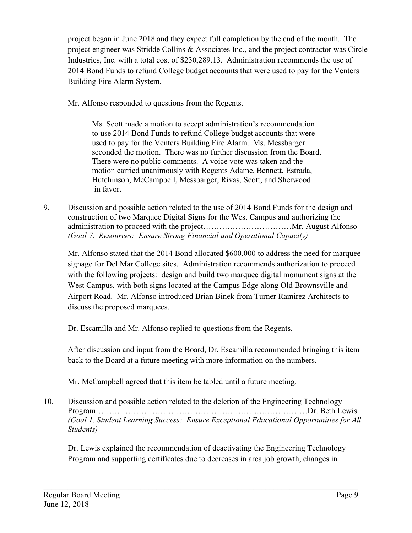project began in June 2018 and they expect full completion by the end of the month. The project engineer was Stridde Collins & Associates Inc., and the project contractor was Circle Industries, Inc. with a total cost of [\\$230,289.13.](https://230,289.13) Administration recommends the use of 2014 Bond Funds to refund College budget accounts that were used to pay for the Venters Building Fire Alarm System.

Mr. Alfonso responded to questions from the Regents.

 to use 2014 Bond Funds to refund College budget accounts that were used to pay for the Venters Building Fire Alarm. Ms. Messbarger seconded the motion. There was no further discussion from the Board. There were no public comments. A voice vote was taken and the motion carried unanimously with Regents Adame, Bennett, Estrada, Hutchinson, McCampbell, Messbarger, Rivas, Scott, and Sherwood in favor. Ms. Scott made a motion to accept administration's recommendation

 9. Discussion and possible action related to the use of 2014 Bond Funds for the design and construction of two Marquee Digital Signs for the West Campus and authorizing the administration to proceed with the project……………………………Mr. August Alfonso  *(Goal 7. Resources: Ensure Strong Financial and Operational Capacity)* 

 Mr. Alfonso stated that the 2014 Bond allocated \$600,000 to address the need for marquee signage for Del Mar College sites. Administration recommends authorization to proceed with the following projects: design and build two marquee digital monument signs at the West Campus, with both signs located at the Campus Edge along Old Brownsville and Airport Road. Mr. Alfonso introduced Brian Binek from Turner Ramirez Architects to discuss the proposed marquees.

Dr. Escamilla and Mr. Alfonso replied to questions from the Regents.

 After discussion and input from the Board, Dr. Escamilla recommended bringing this item back to the Board at a future meeting with more information on the numbers.

Mr. McCampbell agreed that this item be tabled until a future meeting.

 10. Discussion and possible action related to the deletion of the Engineering Technology Program…………………………………………………….………………Dr. Beth Lewis  *(Goal 1. Student Learning Success: Ensure Exceptional Educational Opportunities for All Students)* 

 Dr. Lewis explained the recommendation of deactivating the Engineering Technology Program and supporting certificates due to decreases in area job growth, changes in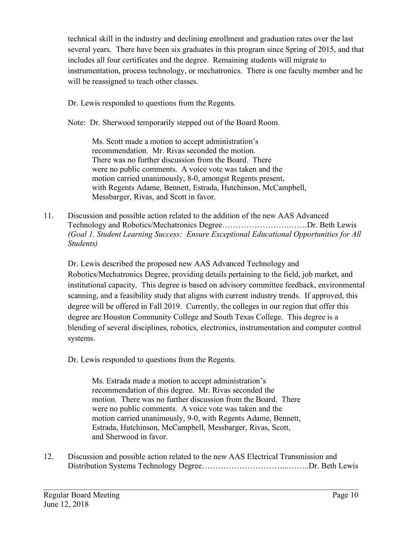technical skill in the industry and declining enrollment and graduation rates over the last several years. There have been six graduates in this program since Spring of 2015, and that includes all four certificates and the degree. Remaining students will migrate to instrumentation, process technology, or mechatronics. There is one faculty member and he will be reassigned to teach other classes.

Dr. Lewis responded to questions from the Regents.

Note: Dr. Sherwood temporarily stepped out of the Board Room.

 recommendation. Mr. Rivas seconded the motion. There was no further discussion from the Board. There were no public comments. A voice vote was taken and the motion carried unanimously, 8-0, amongst Regents present, with Regents Adame, Bennett, Estrada, Hutchinson, McCampbell, Messbarger, Rivas, and Scott in favor. Ms. Scott made a motion to accept administration's

11. Discussion and possible action related to the addition of the new AAS Advanced Technology and Robotics/Mechatronics [Degree…………………….…….Dr.](https://Degree��������.��.Dr) Beth Lewis *(Goal 1. Student Learning Success: Ensure Exceptional Educational Opportunities for All Students)* 

 Dr. Lewis described the proposed new AAS Advanced Technology and Robotics/Mechatronics Degree, providing details pertaining to the field, job market, and institutional capacity. This degree is based on advisory committee feedback, environmental scanning, and a feasibility study that aligns with current industry trends. If approved, this degree will be offered in Fall 2019. Currently, the colleges in our region that offer this degree are Houston Community College and South Texas College. This degree is a blending of several disciplines, robotics, electronics, instrumentation and computer control systems.

Dr. Lewis responded to questions from the Regents.

 recommendation of this degree. Mr. Rivas seconded the motion. There was no further discussion from the Board. There were no public comments. A voice vote was taken and the motion carried unanimously, 9-0, with Regents Adame, Bennett, Estrada, Hutchinson, McCampbell, Messbarger, Rivas, Scott, and Sherwood in favor. Ms. Estrada made a motion to accept administration's

12. Discussion and possible action related to the new AAS Electrical Transmission and Distribution Systems Technology [Degree…………………………...……..Dr](https://Degree����������...��..Dr). Beth Lewis